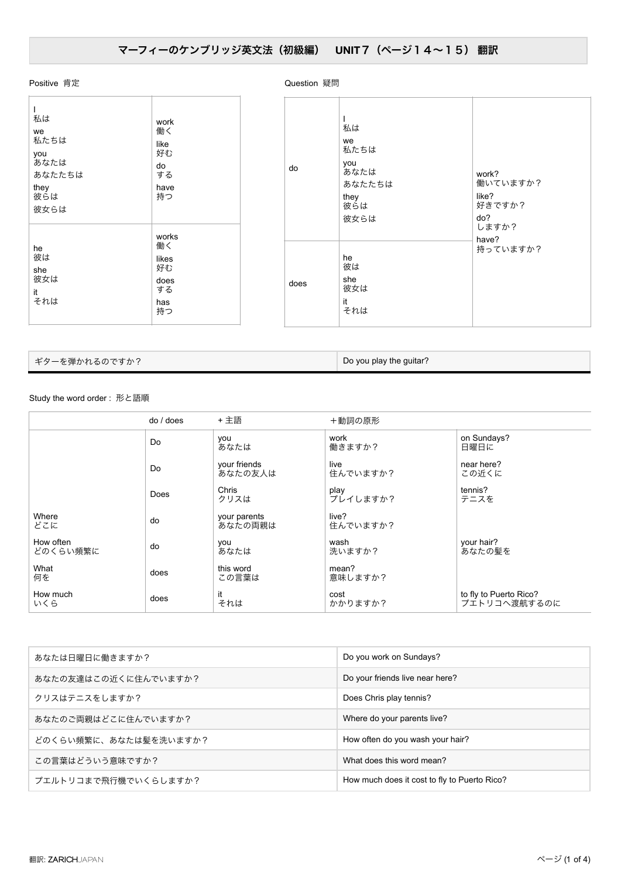## Positive 肯定

| ı<br>私は<br>we<br>私たちは<br>you<br>あなたは<br>あなたたちは<br>they<br>彼らは<br>彼女らは | work<br>働く<br>like<br>好む<br>do<br>する<br>have<br>持つ    |
|-----------------------------------------------------------------------|-------------------------------------------------------|
| he<br>彼は<br>she<br>彼女は<br>it<br>それは                                   | works<br>働く<br>likes<br>好む<br>does<br>する<br>has<br>持つ |

Question 疑問

do I 私は we 私たちは you あなたは あなたたちは they 彼らは 彼女らは work? 働いていますか? like? 好きですか? do? ….<br>しますか? have? **持っていますか?** does he 彼は she …<br>彼女は it …<br>それは

ギターを弾かれるのですか? インタン インタン こうしょう こうしょう Do you play the guitar?

## Study the word order: 形と語順

|                       | $do /$ does | + 主語                    | +動詞の原形            |                                        |
|-----------------------|-------------|-------------------------|-------------------|----------------------------------------|
|                       | Do          | you<br>あなたは             | work<br>働きますか?    | on Sundays?<br>日曜日に                    |
|                       | Do          | your friends<br>あなたの友人は | live<br>住んでいますか?  | near here?<br>この近くに                    |
|                       | Does        | Chris<br>クリスは           | play<br>プレイしますか?  | tennis?<br>テニスを                        |
| Where<br>どこに          | do          | your parents<br>あなたの両親は | live?<br>住んでいますか? |                                        |
| How often<br>どのくらい頻繁に | do          | you<br>あなたは             | wash<br>洗いますか?    | your hair?<br>あなたの髪を                   |
| What<br>何を            | does        | this word<br>この言葉は      | mean?<br>意味しますか?  |                                        |
| How much<br>いくら       | does        | it<br>それは               | cost<br>かかりますか?   | to fly to Puerto Rico?<br>プエトリコへ渡航するのに |

| あなたは日曜日に働きますか?        | Do you work on Sundays?                      |
|-----------------------|----------------------------------------------|
| あなたの友達はこの近くに住んでいますか?  | Do your friends live near here?              |
| クリスはテニスをしますか?         | Does Chris play tennis?                      |
| あなたのご両親はどこに住んでいますか?   | Where do your parents live?                  |
| どのくらい頻繁に、あなたは髣を洗いますか? | How often do you wash your hair?             |
| この言葉はどういう意味ですか?       | What does this word mean?                    |
| プエルトリコまで飛行機でいくらしますか?  | How much does it cost to fly to Puerto Rico? |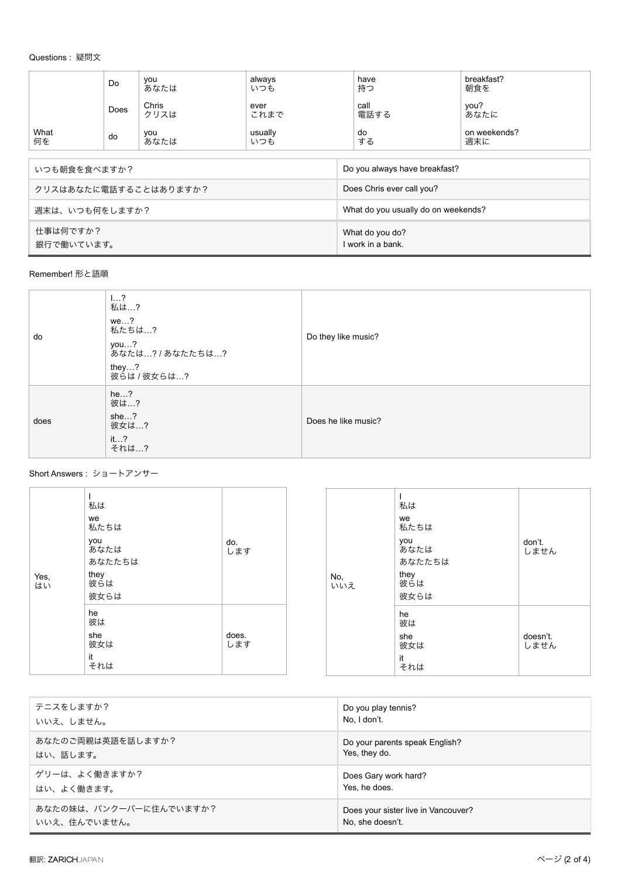## Questions: 疑問文

|                        | Do   | you<br>あなたは                         | always<br>いつも  | have<br>持つ                           | breakfast?<br>朝食を   |
|------------------------|------|-------------------------------------|----------------|--------------------------------------|---------------------|
|                        | Does | Chris<br>クリスは                       | ever<br>これまで   | call<br>電話する                         | you?<br>あなたに        |
| What<br>何を             | do   | you<br>あなたは                         | usually<br>いつも | do<br>する                             | on weekends?<br>週末に |
|                        |      |                                     |                |                                      |                     |
| いつも朝食を食べますか?           |      | Do you always have breakfast?       |                |                                      |                     |
| クリスはあなたに電話することはありますか?  |      | Does Chris ever call you?           |                |                                      |                     |
| 週末は、いつも何をしますか?         |      | What do you usually do on weekends? |                |                                      |                     |
| 仕事は何ですか?<br>銀行で働いています。 |      |                                     |                | What do you do?<br>I work in a bank. |                     |

Remember! 形と語順

| do   | 12<br>私は…?<br>we?<br>私たちは…?<br>you?<br>あなたは? / あなたたちは?<br>they?<br>彼らは / 彼女らは? | Do they like music? |
|------|--------------------------------------------------------------------------------|---------------------|
| does | he. . ?<br>彼は?<br>she?<br>彼女は…?<br>it?<br>それは…?                                | Does he like music? |

Short Answers : ショートアンサー

| Yes,<br>はい | 私は<br>we<br>私たちは<br>you<br>あなたは<br>あなたたちは<br>they<br>彼らは<br>彼女らは | do.<br>します   | No,<br>いいえ | 私は<br>we<br>私たちは<br>you<br>あなたは<br>あなたたちは<br>they<br>彼らは<br>彼女らは | don't.<br>しません   |
|------------|------------------------------------------------------------------|--------------|------------|------------------------------------------------------------------|------------------|
|            | he<br>彼は<br>she<br>彼女は<br>it<br>それは                              | does.<br>します |            | he<br>彼は<br>she<br>彼女は<br>it<br>それは                              | doesn't.<br>しません |

| テニスをしますか?              | Do you play tennis?                 |
|------------------------|-------------------------------------|
| いいえ、しません。              | No, I don't.                        |
| あなたのご両親は英語を話しますか?      | Do your parents speak English?      |
| はい、話します。               | Yes, they do.                       |
| ゲリーは、よく働きますか?          | Does Gary work hard?                |
| はい、よく働きます。             | Yes, he does.                       |
| あなたの妹は、バンクーバーに住んでいますか? | Does your sister live in Vancouver? |
| いいえ、住んでいません。           | No, she doesn't.                    |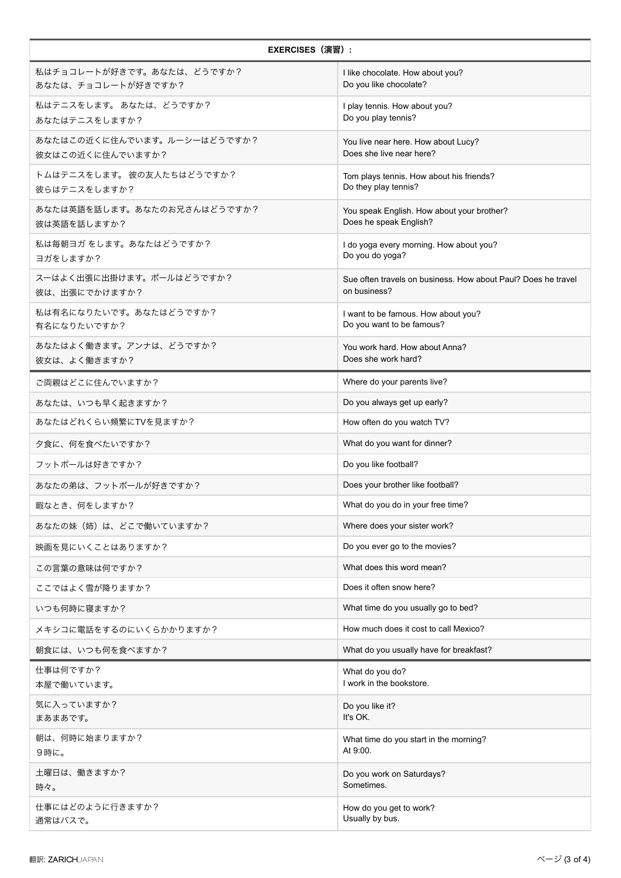| <b>EXERCISES (演習):</b>                          |                                                                               |
|-------------------------------------------------|-------------------------------------------------------------------------------|
| 私はチョコレートが好きです。あなたは、どうですか?<br>あなたは、チョコレートが好きですか? | I like chocolate. How about you?<br>Do you like chocolate?                    |
| 私はテニスをします。あなたは、どうですか?<br>あなたはテニスをしますか?          | I play tennis. How about you?<br>Do you play tennis?                          |
| あなたはこの近くに住んでいます。ルーシーはどうですか?<br>彼女はこの近くに住んでいますか? | You live near here. How about Lucy?<br>Does she live near here?               |
| トムはテニスをします。 彼の友人たちはどうですか?<br>彼らはテニスをしますか?       | Tom plays tennis. How about his friends?<br>Do they play tennis?              |
| あなたは英語を話します。あなたのお兄さんはどうですか?<br>彼は英語を話しますか?      | You speak English. How about your brother?<br>Does he speak English?          |
| 私は毎朝ヨガ をします。あなたはどうですか?<br>ヨガをしますか?              | I do yoga every morning. How about you?<br>Do you do yoga?                    |
| スーはよく出張に出掛けます。ポールはどうですか?<br>彼は、出張にでかけますか?       | Sue often travels on business. How about Paul? Does he travel<br>on business? |
| 私は有名になりたいです。あなたはどうですか?<br>有名になりたいですか?           | I want to be famous. How about you?<br>Do you want to be famous?              |
| あなたはよく働きます。アンナは、どうですか?<br>彼女は、よく働きますか?          | You work hard. How about Anna?<br>Does she work hard?                         |
| ご両親はどこに住んでいますか?                                 | Where do your parents live?                                                   |
| あなたは、いつも早く起きますか?                                | Do you always get up early?                                                   |
| あなたはどれくらい頻繁にTVを見ますか?                            | How often do you watch TV?                                                    |
| 夕食に、何を食べたいですか?                                  | What do you want for dinner?                                                  |
| フットボールは好きですか?                                   | Do you like football?                                                         |
| あなたの弟は、フットボールが好きですか?                            | Does your brother like football?                                              |
| 暇なとき、何をしますか?                                    | What do you do in your free time?                                             |
| あなたの妹(姉)は、どこで働いていますか?                           | Where does your sister work?                                                  |
| 映画を見にいくことはありますか?                                | Do you ever go to the movies?                                                 |
| この言葉の意味は何ですか?                                   | What does this word mean?                                                     |
| ここではよく雪が降りますか?                                  | Does it often snow here?                                                      |
| いつも何時に寝ますか?                                     | What time do you usually go to bed?                                           |
| メキシコに電話をするのにいくらかかりますか?                          | How much does it cost to call Mexico?                                         |
| 朝食には、いつも何を食べますか?                                | What do you usually have for breakfast?                                       |
| 仕事は何ですか?<br>本屋で働いています。                          | What do you do?<br>I work in the bookstore.                                   |
| 気に入っていますか?<br>まあまあです。                           | Do you like it?<br>It's OK.                                                   |
| 朝は、何時に始まりますか?<br>9時に。                           | What time do you start in the morning?<br>At 9:00.                            |
| 土曜日は、働きますか?<br>時々。                              | Do you work on Saturdays?<br>Sometimes.                                       |
| 仕事にはどのように行きますか?<br>通常はバスで。                      | How do you get to work?<br>Usually by bus.                                    |